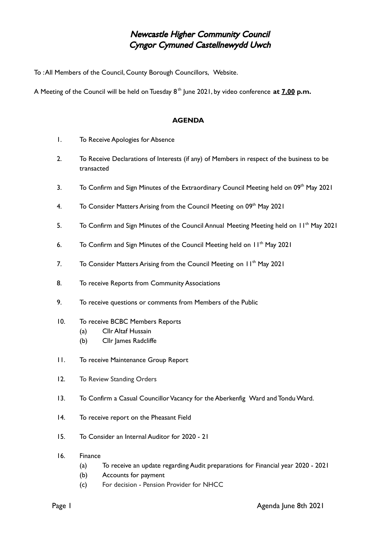## Newcastle Higher Community Council Cyngor Cymuned Castellnewydd Uwch

To :All Members of the Council, County Borough Councillors, Website.

A Meeting of the Council will be held on Tuesday 8 th June 2021, by video conference **at 7.00 p.m.**

## **AGENDA**

- 1. To Receive Apologies for Absence
- 2. To Receive Declarations of Interests (if any) of Members in respect of the business to be transacted
- 3. To Confirm and Sign Minutes of the Extraordinary Council Meeting held on 09<sup>th</sup> May 2021
- 4. To Consider Matters Arising from the Council Meeting on 09<sup>th</sup> May 2021
- 5. To Confirm and Sign Minutes of the Council Annual Meeting Meeting held on 11<sup>th</sup> May 2021
- 6. To Confirm and Sign Minutes of the Council Meeting held on 11<sup>th</sup> May 2021
- 7. To Consider Matters Arising from the Council Meeting on 11<sup>th</sup> May 2021
- 8. To receive Reports from Community Associations
- 9. To receive questions or comments from Members of the Public
- 10. To receive BCBC Members Reports
	- (a) Cllr Altaf Hussain
	- (b) Cllr James Radcliffe
- 11. To receive Maintenance Group Report
- 12. To Review Standing Orders
- 13. To Confirm a Casual Councillor Vacancy for the Aberkenfig Ward and Tondu Ward.
- 14. To receive report on the Pheasant Field
- 15. To Consider an Internal Auditor for 2020 21
- 16. Finance
	- (a) To receive an update regarding Audit preparations for Financial year 2020 2021
	- (b) Accounts for payment
	- (c) For decision Pension Provider for NHCC